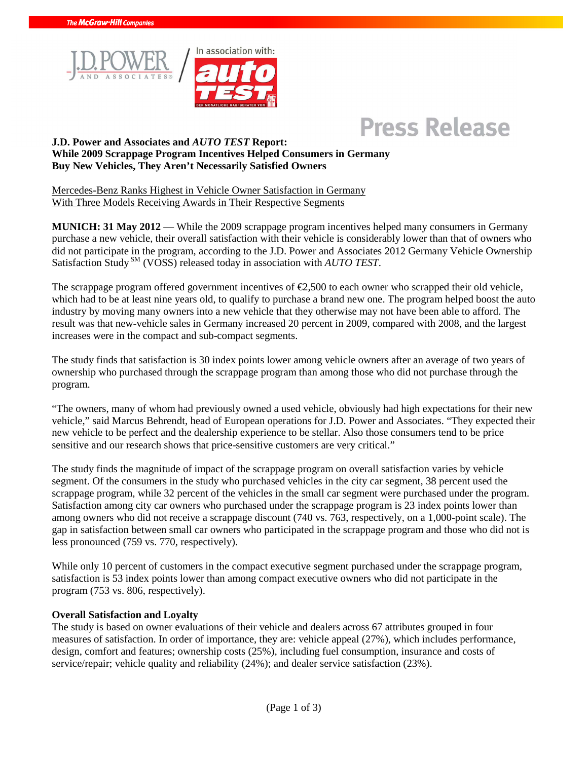



# **Press Release**

#### **J.D. Power and Associates and** *AUTO TEST* **Report: While 2009 Scrappage Program Incentives Helped Consumers in Germany Buy New Vehicles, They Aren't Necessarily Satisfied Owners**

Mercedes-Benz Ranks Highest in Vehicle Owner Satisfaction in Germany With Three Models Receiving Awards in Their Respective Segments

**MUNICH: 31 May 2012** — While the 2009 scrappage program incentives helped many consumers in Germany purchase a new vehicle, their overall satisfaction with their vehicle is considerably lower than that of owners who did not participate in the program, according to the J.D. Power and Associates 2012 Germany Vehicle Ownership Satisfaction Study SM (VOSS) released today in association with *AUTO TEST*.

The scrappage program offered government incentives of  $\epsilon$ 2,500 to each owner who scrapped their old vehicle, which had to be at least nine years old, to qualify to purchase a brand new one. The program helped boost the auto industry by moving many owners into a new vehicle that they otherwise may not have been able to afford. The result was that new-vehicle sales in Germany increased 20 percent in 2009, compared with 2008, and the largest increases were in the compact and sub-compact segments.

The study finds that satisfaction is 30 index points lower among vehicle owners after an average of two years of ownership who purchased through the scrappage program than among those who did not purchase through the program.

"The owners, many of whom had previously owned a used vehicle, obviously had high expectations for their new vehicle," said Marcus Behrendt, head of European operations for J.D. Power and Associates. "They expected their new vehicle to be perfect and the dealership experience to be stellar. Also those consumers tend to be price sensitive and our research shows that price-sensitive customers are very critical."

The study finds the magnitude of impact of the scrappage program on overall satisfaction varies by vehicle segment. Of the consumers in the study who purchased vehicles in the city car segment, 38 percent used the scrappage program, while 32 percent of the vehicles in the small car segment were purchased under the program. Satisfaction among city car owners who purchased under the scrappage program is 23 index points lower than among owners who did not receive a scrappage discount (740 vs. 763, respectively, on a 1,000-point scale). The gap in satisfaction between small car owners who participated in the scrappage program and those who did not is less pronounced (759 vs. 770, respectively).

While only 10 percent of customers in the compact executive segment purchased under the scrappage program, satisfaction is 53 index points lower than among compact executive owners who did not participate in the program (753 vs. 806, respectively).

### **Overall Satisfaction and Loyalty**

The study is based on owner evaluations of their vehicle and dealers across 67 attributes grouped in four measures of satisfaction. In order of importance, they are: vehicle appeal (27%), which includes performance, design, comfort and features; ownership costs (25%), including fuel consumption, insurance and costs of service/repair; vehicle quality and reliability (24%); and dealer service satisfaction (23%).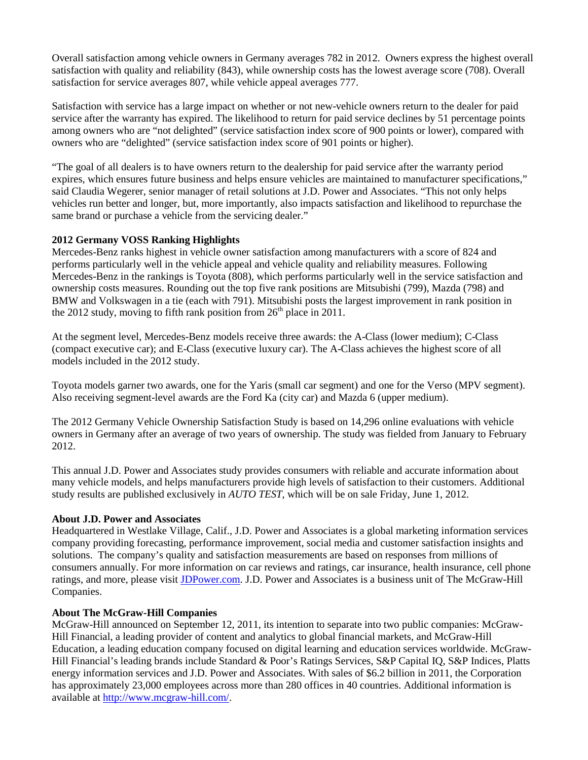Overall satisfaction among vehicle owners in Germany averages 782 in 2012. Owners express the highest overall satisfaction with quality and reliability (843), while ownership costs has the lowest average score (708). Overall satisfaction for service averages 807, while vehicle appeal averages 777.

Satisfaction with service has a large impact on whether or not new-vehicle owners return to the dealer for paid service after the warranty has expired. The likelihood to return for paid service declines by 51 percentage points among owners who are "not delighted" (service satisfaction index score of 900 points or lower), compared with owners who are "delighted" (service satisfaction index score of 901 points or higher).

"The goal of all dealers is to have owners return to the dealership for paid service after the warranty period expires, which ensures future business and helps ensure vehicles are maintained to manufacturer specifications," said Claudia Wegerer, senior manager of retail solutions at J.D. Power and Associates. "This not only helps vehicles run better and longer, but, more importantly, also impacts satisfaction and likelihood to repurchase the same brand or purchase a vehicle from the servicing dealer."

#### **2012 Germany VOSS Ranking Highlights**

Mercedes-Benz ranks highest in vehicle owner satisfaction among manufacturers with a score of 824 and performs particularly well in the vehicle appeal and vehicle quality and reliability measures. Following Mercedes-Benz in the rankings is Toyota (808), which performs particularly well in the service satisfaction and ownership costs measures. Rounding out the top five rank positions are Mitsubishi (799), Mazda (798) and BMW and Volkswagen in a tie (each with 791). Mitsubishi posts the largest improvement in rank position in the 2012 study, moving to fifth rank position from  $26<sup>th</sup>$  place in 2011.

At the segment level, Mercedes-Benz models receive three awards: the A-Class (lower medium); C-Class (compact executive car); and E-Class (executive luxury car). The A-Class achieves the highest score of all models included in the 2012 study.

Toyota models garner two awards, one for the Yaris (small car segment) and one for the Verso (MPV segment). Also receiving segment-level awards are the Ford Ka (city car) and Mazda 6 (upper medium).

The 2012 Germany Vehicle Ownership Satisfaction Study is based on 14,296 online evaluations with vehicle owners in Germany after an average of two years of ownership. The study was fielded from January to February 2012.

This annual J.D. Power and Associates study provides consumers with reliable and accurate information about many vehicle models, and helps manufacturers provide high levels of satisfaction to their customers. Additional study results are published exclusively in *AUTO TEST,* which will be on sale Friday, June 1, 2012.

### **About J.D. Power and Associates**

Headquartered in Westlake Village, Calif., J.D. Power and Associates is a global marketing information services company providing forecasting, performance improvement, social media and customer satisfaction insights and solutions. The company's quality and satisfaction measurements are based on responses from millions of consumers annually. For more information on car reviews and ratings, car insurance, health insurance, cell phone ratings, and more, please visit JDPower.com. J.D. Power and Associates is a business unit of The McGraw-Hill Companies.

#### **About The McGraw-Hill Companies**

McGraw-Hill announced on September 12, 2011, its intention to separate into two public companies: McGraw-Hill Financial, a leading provider of content and analytics to global financial markets, and McGraw-Hill Education, a leading education company focused on digital learning and education services worldwide. McGraw-Hill Financial's leading brands include Standard & Poor's Ratings Services, S&P Capital IQ, S&P Indices, Platts energy information services and J.D. Power and Associates. With sales of \$6.2 billion in 2011, the Corporation has approximately 23,000 employees across more than 280 offices in 40 countries. Additional information is available at http://www.mcgraw-hill.com/.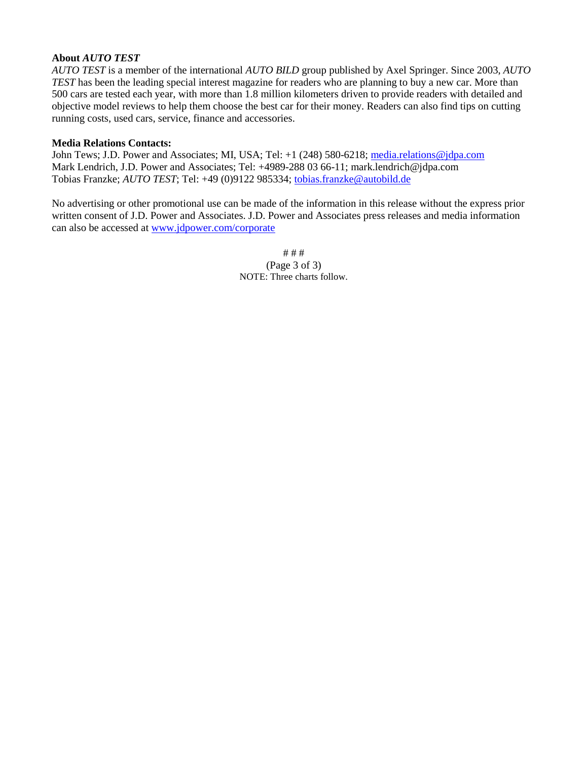#### **About** *AUTO TEST*

*AUTO TEST* is a member of the international *AUTO BILD* group published by Axel Springer. Since 2003, *AUTO TEST* has been the leading special interest magazine for readers who are planning to buy a new car. More than 500 cars are tested each year, with more than 1.8 million kilometers driven to provide readers with detailed and objective model reviews to help them choose the best car for their money. Readers can also find tips on cutting running costs, used cars, service, finance and accessories.

#### **Media Relations Contacts:**

John Tews; J.D. Power and Associates; MI, USA; Tel: +1 (248) 580-6218; media.relations@jdpa.com Mark Lendrich, J.D. Power and Associates; Tel: +4989-288 03 66-11; mark.lendrich@jdpa.com Tobias Franzke; *AUTO TEST*; Tel: +49 (0)9122 985334; tobias.franzke@autobild.de

No advertising or other promotional use can be made of the information in this release without the express prior written consent of J.D. Power and Associates. J.D. Power and Associates press releases and media information can also be accessed at www.jdpower.com/corporate

> # # # (Page 3 of 3) NOTE: Three charts follow.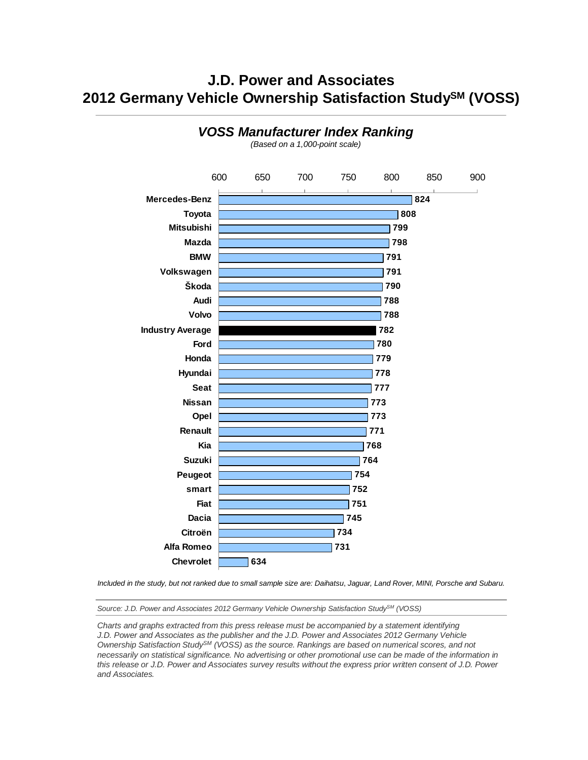### **J.D. Power and Associates 2012 Germany Vehicle Ownership Satisfaction StudySM (VOSS)**



**VOSS Manufacturer Index Ranking**

(Based on a 1,000-point scale)

Included in the study, but not ranked due to small sample size are: Daihatsu, Jaguar, Land Rover, MINI, Porsche and Subaru.

Source: J.D. Power and Associates 2012 Germany Vehicle Ownership Satisfaction Study<sup>SM</sup> (VOSS)

Charts and graphs extracted from this press release must be accompanied by a statement identifying J.D. Power and Associates as the publisher and the J.D. Power and Associates 2012 Germany Vehicle Ownership Satisfaction Study<sup>SM</sup> (VOSS) as the source. Rankings are based on numerical scores, and not necessarily on statistical significance. No advertising or other promotional use can be made of the information in this release or J.D. Power and Associates survey results without the express prior written consent of J.D. Power and Associates.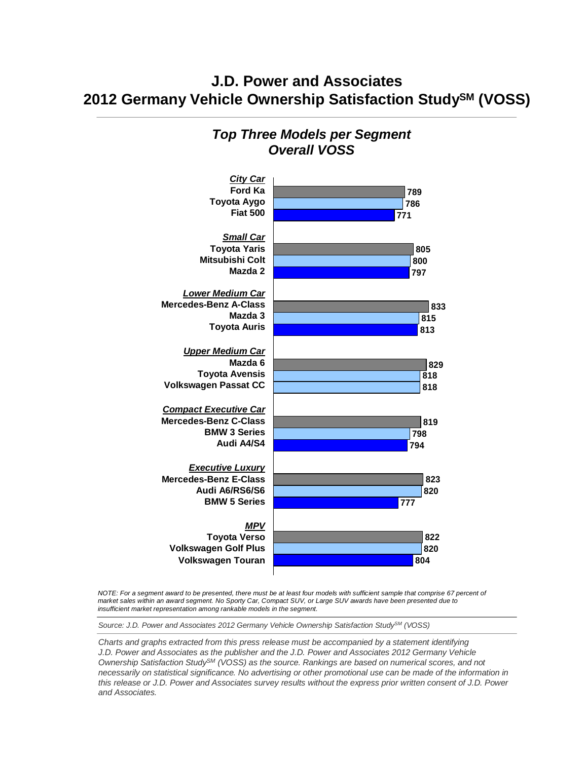### **J.D. Power and Associates 2012 Germany Vehicle Ownership Satisfaction StudySM (VOSS)**

#### **City Car Ford Ka Toyota Aygo Fiat 500 Small Car Toyota Yaris Mitsubishi Colt Mazda 2 Lower Medium Car Mercedes-Benz A-Class Mazda 3 Toyota Auris Upper Medium Car Mazda 6 Toyota Avensis Volkswagen Passat CC Compact Executive Car Mercedes-Benz C-Class BMW 3 Series Audi A4/S4 Executive Luxury Mercedes-Benz E-Class Audi A6/RS6/S6 BMW 5 Series MPV Toyota Verso Volkswagen Golf Plus Volkswagen Touran 789 786 771 805 800 797 833 815 813 829 818 818 798 794 823 820 777 822 820 804 819**

## **Top Three Models per Segment Overall VOSS**

NOTE: For a segment award to be presented, there must be at least four models with sufficient sample that comprise 67 percent of market sales within an award segment. No Sporty Car, Compact SUV, or Large SUV awards have been presented due to insufficient market representation among rankable models in the segment.

Source: J.D. Power and Associates 2012 Germany Vehicle Ownership Satisfaction StudySM (VOSS)

Charts and graphs extracted from this press release must be accompanied by a statement identifying J.D. Power and Associates as the publisher and the J.D. Power and Associates 2012 Germany Vehicle Ownership Satisfaction StudySM (VOSS) as the source. Rankings are based on numerical scores, and not necessarily on statistical significance. No advertising or other promotional use can be made of the information in this release or J.D. Power and Associates survey results without the express prior written consent of J.D. Power and Associates.